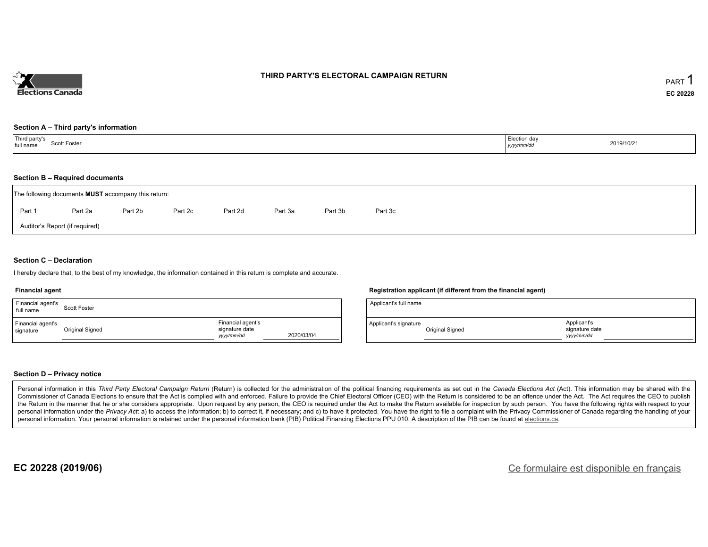

## **THIRD PARTY'S ELECTORAL CAMPAIGN RETURN**

#### **Section A – Third party's information**

| Third party's<br>Scott Foster<br>full name | Election day<br>2019/10/21<br>yyyy/mm/dd |  |
|--------------------------------------------|------------------------------------------|--|
|--------------------------------------------|------------------------------------------|--|

#### **Section B – Required documents**

|        | The following documents <b>MUST</b> accompany this return: |         |         |         |         |         |         |  |
|--------|------------------------------------------------------------|---------|---------|---------|---------|---------|---------|--|
| Part 1 | Part 2a                                                    | Part 2b | Part 2c | Part 2d | Part 3a | Part 3b | Part 3c |  |
|        | Auditor's Report (if required)                             |         |         |         |         |         |         |  |

### **Section C – Declaration**

I hereby declare that, to the best of my knowledge, the information contained in this return is complete and accurate.

#### **Financial agent**

| Financial agent's<br>full name | Scott Foster    |                                                   |            |
|--------------------------------|-----------------|---------------------------------------------------|------------|
| Financial agent's<br>signature | Original Signed | Financial agent's<br>signature date<br>yyyy/mm/dd | 2020/03/04 |

### **Registration applicant (if different from the financial agent)**

| Applicant's full name |                 |                                            |  |
|-----------------------|-----------------|--------------------------------------------|--|
| Applicant's signature | Original Signed | Applicant's<br>signature date<br>vyy/mm/dd |  |

### **Section D – Privacy notice**

Personal information in this Third Party Electoral Campaign Return (Return) is collected for the administration of the political financing requirements as set out in the Canada Elections Act (Act). This information may be Commissioner of Canada Elections to ensure that the Act is complied with and enforced. Failure to provide the Chief Electoral Officer (CEO) with the Return is considered to be an offence under the Act. The Act requires the the Return in the manner that he or she considers appropriate. Upon request by any person, the CEO is required under the Act to make the Return available for inspection by such person. You have the following rights with re personal information under the Privacy Act: a) to access the information; b) to correct it, if necessary; and c) to have it protected. You have the right to file a complaint with the Privacy Commissioner of Canada regardin personal information. Your personal information is retained under the personal information bank (PIB) Political Financing Elections PPU 010. A description of the PIB can be found at elections.ca.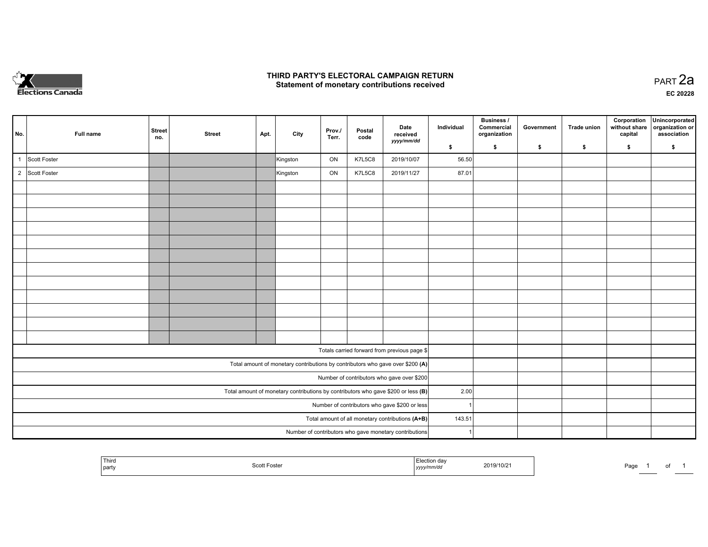

## **THIRD PARTY'S ELECTORAL CAMPAIGN RETURN HIRD PARTY'S ELECTORAL CAMPAIGN RETURN<br>Statement of monetary contributions received PART 2a PART 2a**

**EC 20228**

| No.            | Full name    | <b>Street</b><br>no. | <b>Street</b> | Apt. | City     | Prov./<br>Terr. | Postal<br>code | Date<br>received<br>yyyy/mm/dd                                                      | Individual | Business /<br>Commercial<br>organization | Government | Trade union | Corporation<br>without share<br>capital | Unincorporated<br>organization or<br>association |
|----------------|--------------|----------------------|---------------|------|----------|-----------------|----------------|-------------------------------------------------------------------------------------|------------|------------------------------------------|------------|-------------|-----------------------------------------|--------------------------------------------------|
|                |              |                      |               |      |          |                 |                |                                                                                     | \$         | \$                                       | \$         | \$          | \$                                      | \$                                               |
|                | Scott Foster |                      |               |      | Kingston | ON              | <b>K7L5C8</b>  | 2019/10/07                                                                          | 56.50      |                                          |            |             |                                         |                                                  |
| $\overline{2}$ | Scott Foster |                      |               |      | Kingston | ON              | <b>K7L5C8</b>  | 2019/11/27                                                                          | 87.01      |                                          |            |             |                                         |                                                  |
|                |              |                      |               |      |          |                 |                |                                                                                     |            |                                          |            |             |                                         |                                                  |
|                |              |                      |               |      |          |                 |                |                                                                                     |            |                                          |            |             |                                         |                                                  |
|                |              |                      |               |      |          |                 |                |                                                                                     |            |                                          |            |             |                                         |                                                  |
|                |              |                      |               |      |          |                 |                |                                                                                     |            |                                          |            |             |                                         |                                                  |
|                |              |                      |               |      |          |                 |                |                                                                                     |            |                                          |            |             |                                         |                                                  |
|                |              |                      |               |      |          |                 |                |                                                                                     |            |                                          |            |             |                                         |                                                  |
|                |              |                      |               |      |          |                 |                |                                                                                     |            |                                          |            |             |                                         |                                                  |
|                |              |                      |               |      |          |                 |                |                                                                                     |            |                                          |            |             |                                         |                                                  |
|                |              |                      |               |      |          |                 |                |                                                                                     |            |                                          |            |             |                                         |                                                  |
|                |              |                      |               |      |          |                 |                |                                                                                     |            |                                          |            |             |                                         |                                                  |
|                |              |                      |               |      |          |                 |                |                                                                                     |            |                                          |            |             |                                         |                                                  |
|                |              |                      |               |      |          |                 |                |                                                                                     |            |                                          |            |             |                                         |                                                  |
|                |              |                      |               |      |          |                 |                | Totals carried forward from previous page \$                                        |            |                                          |            |             |                                         |                                                  |
|                |              |                      |               |      |          |                 |                | Total amount of monetary contributions by contributors who gave over \$200 (A)      |            |                                          |            |             |                                         |                                                  |
|                |              |                      |               |      |          |                 |                | Number of contributors who gave over \$200                                          |            |                                          |            |             |                                         |                                                  |
|                |              |                      |               |      |          |                 |                | Total amount of monetary contributions by contributors who gave \$200 or less $(B)$ | 2.00       |                                          |            |             |                                         |                                                  |
|                |              |                      |               |      |          |                 |                | Number of contributors who gave \$200 or less                                       |            |                                          |            |             |                                         |                                                  |
|                |              |                      |               |      |          |                 |                | Total amount of all monetary contributions (A+B)                                    | 143.51     |                                          |            |             |                                         |                                                  |
|                |              |                      |               |      |          |                 |                |                                                                                     |            |                                          |            |             |                                         |                                                  |
|                |              |                      |               |      |          |                 |                | Number of contributors who gave monetary contributions                              |            |                                          |            |             |                                         |                                                  |

|  | Third<br>l partv | -oste<br>--------- | ∍ction da∖<br>,,,,, | 019/10/21 | ∽au |  | וש |  |
|--|------------------|--------------------|---------------------|-----------|-----|--|----|--|
|--|------------------|--------------------|---------------------|-----------|-----|--|----|--|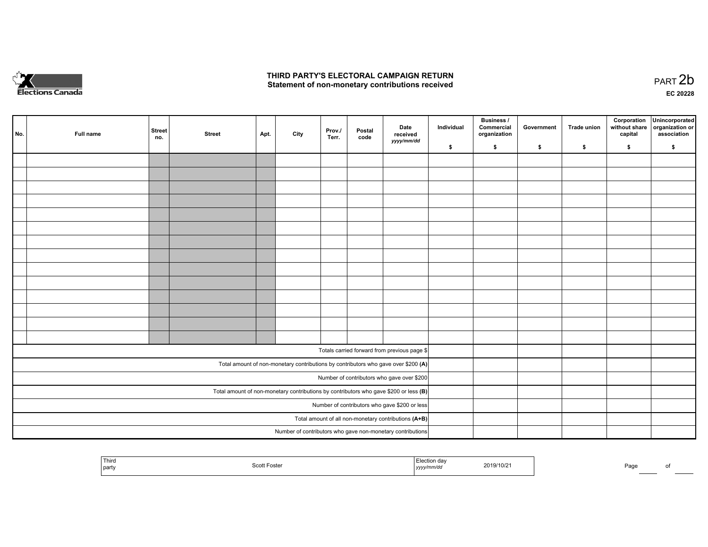

## **THIRD PARTY'S ELECTORAL CAMPAIGN RETURN**  THIRD PARTY'S ELECTORAL CAMPAIGN RETURN<br>Statement of non-monetary contributions received

| No. | Full name | <b>Street</b><br>no. | <b>Street</b> | Apt. | City | Prov.<br>Terr. | Postal<br>code | Date<br>received<br>yyyy/mm/dd                                                          | Individual | <b>Business /</b><br>Commercial<br>organization | Government | Trade union | Corporation<br>without share<br>capital | Unincorporated<br>organization or<br>association |
|-----|-----------|----------------------|---------------|------|------|----------------|----------------|-----------------------------------------------------------------------------------------|------------|-------------------------------------------------|------------|-------------|-----------------------------------------|--------------------------------------------------|
|     |           |                      |               |      |      |                |                |                                                                                         | \$         | \$                                              | \$         | \$          | \$                                      | \$                                               |
|     |           |                      |               |      |      |                |                |                                                                                         |            |                                                 |            |             |                                         |                                                  |
|     |           |                      |               |      |      |                |                |                                                                                         |            |                                                 |            |             |                                         |                                                  |
|     |           |                      |               |      |      |                |                |                                                                                         |            |                                                 |            |             |                                         |                                                  |
|     |           |                      |               |      |      |                |                |                                                                                         |            |                                                 |            |             |                                         |                                                  |
|     |           |                      |               |      |      |                |                |                                                                                         |            |                                                 |            |             |                                         |                                                  |
|     |           |                      |               |      |      |                |                |                                                                                         |            |                                                 |            |             |                                         |                                                  |
|     |           |                      |               |      |      |                |                |                                                                                         |            |                                                 |            |             |                                         |                                                  |
|     |           |                      |               |      |      |                |                |                                                                                         |            |                                                 |            |             |                                         |                                                  |
|     |           |                      |               |      |      |                |                |                                                                                         |            |                                                 |            |             |                                         |                                                  |
|     |           |                      |               |      |      |                |                |                                                                                         |            |                                                 |            |             |                                         |                                                  |
|     |           |                      |               |      |      |                |                |                                                                                         |            |                                                 |            |             |                                         |                                                  |
|     |           |                      |               |      |      |                |                |                                                                                         |            |                                                 |            |             |                                         |                                                  |
|     |           |                      |               |      |      |                |                |                                                                                         |            |                                                 |            |             |                                         |                                                  |
|     |           |                      |               |      |      |                |                |                                                                                         |            |                                                 |            |             |                                         |                                                  |
|     |           |                      |               |      |      |                |                |                                                                                         |            |                                                 |            |             |                                         |                                                  |
|     |           |                      |               |      |      |                |                | Totals carried forward from previous page \$                                            |            |                                                 |            |             |                                         |                                                  |
|     |           |                      |               |      |      |                |                | Total amount of non-monetary contributions by contributors who gave over \$200 (A)      |            |                                                 |            |             |                                         |                                                  |
|     |           |                      |               |      |      |                |                | Number of contributors who gave over \$200                                              |            |                                                 |            |             |                                         |                                                  |
|     |           |                      |               |      |      |                |                | Total amount of non-monetary contributions by contributors who gave \$200 or less $(B)$ |            |                                                 |            |             |                                         |                                                  |
|     |           |                      |               |      |      |                |                | Number of contributors who gave \$200 or less                                           |            |                                                 |            |             |                                         |                                                  |
|     |           |                      |               |      |      |                |                | Total amount of all non-monetary contributions (A+B)                                    |            |                                                 |            |             |                                         |                                                  |
|     |           |                      |               |      |      |                |                | Number of contributors who gave non-monetary contributions                              |            |                                                 |            |             |                                         |                                                  |
|     |           |                      |               |      |      |                |                |                                                                                         |            |                                                 |            |             |                                         |                                                  |

| <sup>!</sup> Third<br>tion dav<br>2019/10/21<br>Scott<br>Foster<br>.<br>party<br>  yyyy | Page |  |
|-----------------------------------------------------------------------------------------|------|--|
|-----------------------------------------------------------------------------------------|------|--|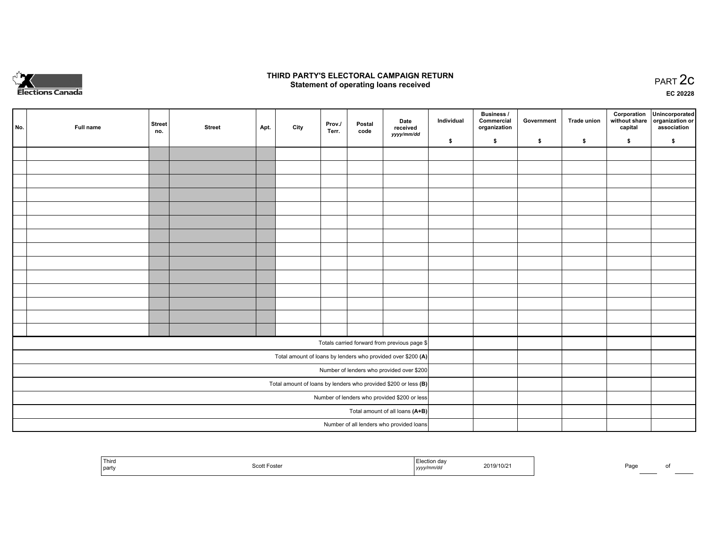

## **THIRD PARTY'S ELECTORAL CAMPAIGN RETURN STATE:** PRACT OF OPPRESS TO PART 2C STATE STATE STATE STATE STATE STATE STATE STATE STATE STATE STATE STATE STA<br>PART 2C Statement of operating loans received

**EC 20228**

| No. | Full name | <b>Street</b><br>no. | <b>Street</b> | Apt. | City | Prov./<br>Terr. | Postal<br>code | Date<br>received                                                | Individual | <b>Business /</b><br>Commercial<br>organization | Government | <b>Trade union</b> | Corporation<br>capital | Unincorporated<br>without share organization or<br>association |
|-----|-----------|----------------------|---------------|------|------|-----------------|----------------|-----------------------------------------------------------------|------------|-------------------------------------------------|------------|--------------------|------------------------|----------------------------------------------------------------|
|     |           |                      |               |      |      |                 |                | yyyy/mm/dd                                                      | \$         | \$                                              | \$         | \$                 | \$                     | \$                                                             |
|     |           |                      |               |      |      |                 |                |                                                                 |            |                                                 |            |                    |                        |                                                                |
|     |           |                      |               |      |      |                 |                |                                                                 |            |                                                 |            |                    |                        |                                                                |
|     |           |                      |               |      |      |                 |                |                                                                 |            |                                                 |            |                    |                        |                                                                |
|     |           |                      |               |      |      |                 |                |                                                                 |            |                                                 |            |                    |                        |                                                                |
|     |           |                      |               |      |      |                 |                |                                                                 |            |                                                 |            |                    |                        |                                                                |
|     |           |                      |               |      |      |                 |                |                                                                 |            |                                                 |            |                    |                        |                                                                |
|     |           |                      |               |      |      |                 |                |                                                                 |            |                                                 |            |                    |                        |                                                                |
|     |           |                      |               |      |      |                 |                |                                                                 |            |                                                 |            |                    |                        |                                                                |
|     |           |                      |               |      |      |                 |                |                                                                 |            |                                                 |            |                    |                        |                                                                |
|     |           |                      |               |      |      |                 |                |                                                                 |            |                                                 |            |                    |                        |                                                                |
|     |           |                      |               |      |      |                 |                |                                                                 |            |                                                 |            |                    |                        |                                                                |
|     |           |                      |               |      |      |                 |                |                                                                 |            |                                                 |            |                    |                        |                                                                |
|     |           |                      |               |      |      |                 |                |                                                                 |            |                                                 |            |                    |                        |                                                                |
|     |           |                      |               |      |      |                 |                |                                                                 |            |                                                 |            |                    |                        |                                                                |
|     |           |                      |               |      |      |                 |                | Totals carried forward from previous page \$                    |            |                                                 |            |                    |                        |                                                                |
|     |           |                      |               |      |      |                 |                | Total amount of loans by lenders who provided over \$200 (A)    |            |                                                 |            |                    |                        |                                                                |
|     |           |                      |               |      |      |                 |                | Number of lenders who provided over \$200                       |            |                                                 |            |                    |                        |                                                                |
|     |           |                      |               |      |      |                 |                | Total amount of loans by lenders who provided \$200 or less (B) |            |                                                 |            |                    |                        |                                                                |
|     |           |                      |               |      |      |                 |                | Number of lenders who provided \$200 or less                    |            |                                                 |            |                    |                        |                                                                |
|     |           |                      |               |      |      |                 |                | Total amount of all loans (A+B)                                 |            |                                                 |            |                    |                        |                                                                |
|     |           |                      |               |      |      |                 |                | Number of all lenders who provided loans                        |            |                                                 |            |                    |                        |                                                                |

|  | Third<br>party | Foste<br>ഫ∩ | CC N<br>јуууу. | 019/10/2' |  | Pac |  |
|--|----------------|-------------|----------------|-----------|--|-----|--|
|--|----------------|-------------|----------------|-----------|--|-----|--|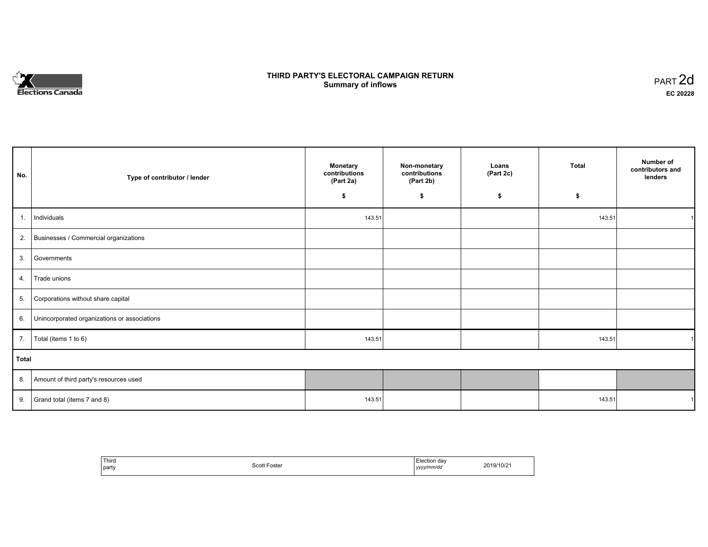

# **THIRD PARTY'S ELECTORAL CAMPAIGN RETURN S** ELECTORAL CAMPAIGN RETURN<br>Summary of inflows PART 2d

| No.   | Type of contributor / lender                 | Monetary<br>contributions<br>(Part 2a) | Non-monetary<br>contributions<br>(Part 2b) | Loans<br>(Part 2c) | <b>Total</b> | Number of<br>contributors and<br>lenders |
|-------|----------------------------------------------|----------------------------------------|--------------------------------------------|--------------------|--------------|------------------------------------------|
|       |                                              | \$                                     | \$                                         | \$                 | \$           |                                          |
| 1.    | Individuals                                  | 143.51                                 |                                            |                    | 143.51       |                                          |
|       | 2. Businesses / Commercial organizations     |                                        |                                            |                    |              |                                          |
| 3.    | Governments                                  |                                        |                                            |                    |              |                                          |
| 4.    | Trade unions                                 |                                        |                                            |                    |              |                                          |
| 5.    | Corporations without share capital           |                                        |                                            |                    |              |                                          |
| 6.    | Unincorporated organizations or associations |                                        |                                            |                    |              |                                          |
|       | 7.   Total (items 1 to 6)                    | 143.51                                 |                                            |                    | 143.51       |                                          |
| Total |                                              |                                        |                                            |                    |              |                                          |
|       | 8. Amount of third party's resources used    |                                        |                                            |                    |              |                                          |
|       | 9. Grand total (items $7$ and $8$ )          | 143.51                                 |                                            |                    | 143.51       |                                          |

| ' Third<br>party | <b>Scott</b><br>Foster<br>. | ∟dection dav<br>.<br>yyyy/mm/dd | 2019/10/21 |
|------------------|-----------------------------|---------------------------------|------------|
|------------------|-----------------------------|---------------------------------|------------|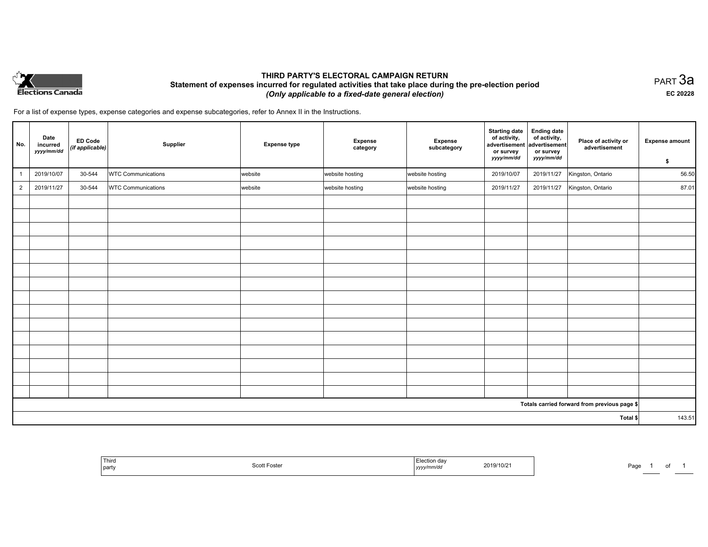

# **THIRD PARTY'S ELECTORAL CAMPAIGN RETURN Statement of expenses incurred for regulated activities that take place during the pre-election period**  *(Only applicable to a fixed-date general election)*

PART 3a **EC 20228**

For a list of expense types, expense categories and expense subcategories, refer to Annex II in the Instructions.

| No.            | Date<br>incurred<br>yyyy/mm/dd | <b>ED Code</b><br>(if applicable) | Supplier                  | <b>Expense type</b> | <b>Expense</b><br>category | Expense<br>subcategory | <b>Starting date</b><br>of activity,<br>advertisement<br>or survey<br>yyyy/mm/dd | <b>Ending date</b><br>of activity,<br>advertisement<br>or survey<br>yyyy/mm/dd | Place of activity or<br>advertisement        | <b>Expense amount</b><br>\$ |
|----------------|--------------------------------|-----------------------------------|---------------------------|---------------------|----------------------------|------------------------|----------------------------------------------------------------------------------|--------------------------------------------------------------------------------|----------------------------------------------|-----------------------------|
| $\overline{1}$ | 2019/10/07                     | 30-544                            | <b>WTC Communications</b> | website             | website hosting            | website hosting        | 2019/10/07                                                                       | 2019/11/27                                                                     | Kingston, Ontario                            | 56.50                       |
| $\overline{2}$ | 2019/11/27                     | 30-544                            | <b>WTC Communications</b> | website             | website hosting            | website hosting        | 2019/11/27                                                                       | 2019/11/27                                                                     | Kingston, Ontario                            | 87.01                       |
|                |                                |                                   |                           |                     |                            |                        |                                                                                  |                                                                                |                                              |                             |
|                |                                |                                   |                           |                     |                            |                        |                                                                                  |                                                                                |                                              |                             |
|                |                                |                                   |                           |                     |                            |                        |                                                                                  |                                                                                |                                              |                             |
|                |                                |                                   |                           |                     |                            |                        |                                                                                  |                                                                                |                                              |                             |
|                |                                |                                   |                           |                     |                            |                        |                                                                                  |                                                                                |                                              |                             |
|                |                                |                                   |                           |                     |                            |                        |                                                                                  |                                                                                |                                              |                             |
|                |                                |                                   |                           |                     |                            |                        |                                                                                  |                                                                                |                                              |                             |
|                |                                |                                   |                           |                     |                            |                        |                                                                                  |                                                                                |                                              |                             |
|                |                                |                                   |                           |                     |                            |                        |                                                                                  |                                                                                |                                              |                             |
|                |                                |                                   |                           |                     |                            |                        |                                                                                  |                                                                                |                                              |                             |
|                |                                |                                   |                           |                     |                            |                        |                                                                                  |                                                                                |                                              |                             |
|                |                                |                                   |                           |                     |                            |                        |                                                                                  |                                                                                |                                              |                             |
|                |                                |                                   |                           |                     |                            |                        |                                                                                  |                                                                                |                                              |                             |
|                |                                |                                   |                           |                     |                            |                        |                                                                                  |                                                                                |                                              |                             |
|                |                                |                                   |                           |                     |                            |                        |                                                                                  |                                                                                |                                              |                             |
|                |                                |                                   |                           |                     |                            |                        |                                                                                  |                                                                                | Totals carried forward from previous page \$ |                             |
| Total \$       |                                |                                   |                           |                     |                            | 143.51                 |                                                                                  |                                                                                |                                              |                             |

| Third<br>party | Scott Foster | <b>Election day</b><br>2019/10/2<br>.<br>yyyy <i>nnnv</i> uo | Pag |
|----------------|--------------|--------------------------------------------------------------|-----|
|----------------|--------------|--------------------------------------------------------------|-----|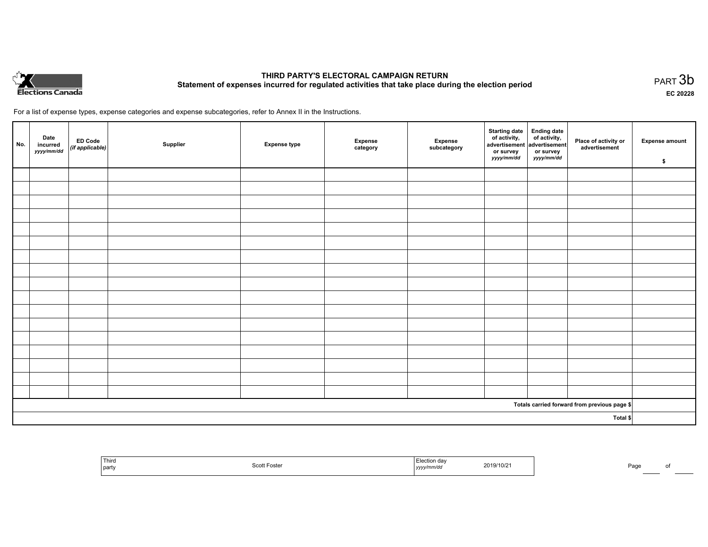

# **THIRD PARTY'S ELECTORAL CAMPAIGN RETURN Statement of expenses incurred for regulated activities that take place during the election period**<br>PART  $3b$

**EC 20228**

For a list of expense types, expense categories and expense subcategories, refer to Annex II in the Instructions.

| No.      | Date<br>incurred<br>yyyy/mm/dd | ED Code<br>(if applicable) | Supplier | <b>Expense type</b> | Expense<br>category | Expense<br>subcategory | Starting date Ending date<br>of activity, of activity,<br>advertisement advertisement<br>or survey<br>yyyy/mm/dd | or survey<br><i>yyyy/mm/dd</i> | Place of activity or<br>advertisement        | <b>Expense amount</b><br>\$ |
|----------|--------------------------------|----------------------------|----------|---------------------|---------------------|------------------------|------------------------------------------------------------------------------------------------------------------|--------------------------------|----------------------------------------------|-----------------------------|
|          |                                |                            |          |                     |                     |                        |                                                                                                                  |                                |                                              |                             |
|          |                                |                            |          |                     |                     |                        |                                                                                                                  |                                |                                              |                             |
|          |                                |                            |          |                     |                     |                        |                                                                                                                  |                                |                                              |                             |
|          |                                |                            |          |                     |                     |                        |                                                                                                                  |                                |                                              |                             |
|          |                                |                            |          |                     |                     |                        |                                                                                                                  |                                |                                              |                             |
|          |                                |                            |          |                     |                     |                        |                                                                                                                  |                                |                                              |                             |
|          |                                |                            |          |                     |                     |                        |                                                                                                                  |                                |                                              |                             |
|          |                                |                            |          |                     |                     |                        |                                                                                                                  |                                |                                              |                             |
|          |                                |                            |          |                     |                     |                        |                                                                                                                  |                                |                                              |                             |
|          |                                |                            |          |                     |                     |                        |                                                                                                                  |                                |                                              |                             |
|          |                                |                            |          |                     |                     |                        |                                                                                                                  |                                |                                              |                             |
|          |                                |                            |          |                     |                     |                        |                                                                                                                  |                                |                                              |                             |
|          |                                |                            |          |                     |                     |                        |                                                                                                                  |                                |                                              |                             |
|          |                                |                            |          |                     |                     |                        |                                                                                                                  |                                |                                              |                             |
|          |                                |                            |          |                     |                     |                        |                                                                                                                  |                                |                                              |                             |
|          |                                |                            |          |                     |                     |                        |                                                                                                                  |                                |                                              |                             |
|          |                                |                            |          |                     |                     |                        |                                                                                                                  |                                |                                              |                             |
|          |                                |                            |          |                     |                     |                        |                                                                                                                  |                                | Totals carried forward from previous page \$ |                             |
| Total \$ |                                |                            |          |                     |                     |                        |                                                                                                                  |                                |                                              |                             |

|  | Third<br>__<br>  party | ิบธเธ<br>,,,,,, | <br>,,,,, | $\sim$<br>/10/21<br>$\sim$ |  | Pag. |  |
|--|------------------------|-----------------|-----------|----------------------------|--|------|--|
|--|------------------------|-----------------|-----------|----------------------------|--|------|--|